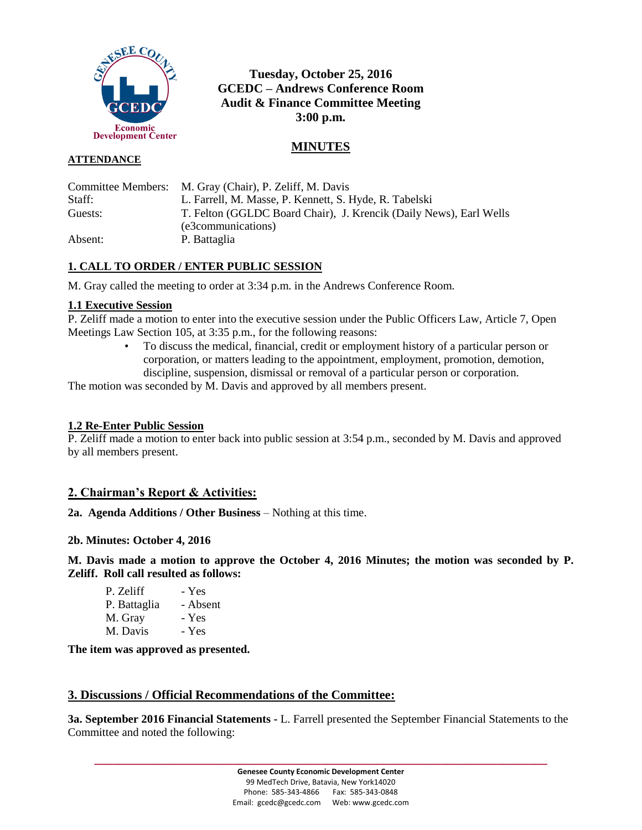

# **Tuesday, October 25, 2016 GCEDC – Andrews Conference Room Audit & Finance Committee Meeting 3:00 p.m.**

# **MINUTES**

### **ATTENDANCE**

Committee Members: M. Gray (Chair), P. Zeliff, M. Davis Staff: L. Farrell, M. Masse, P. Kennett, S. Hyde, R. Tabelski Guests: T. Felton (GGLDC Board Chair), J. Krencik (Daily News), Earl Wells (e3communications) Absent: P. Battaglia

# **1. CALL TO ORDER / ENTER PUBLIC SESSION**

M. Gray called the meeting to order at 3:34 p.m. in the Andrews Conference Room.

## **1.1 Executive Session**

P. Zeliff made a motion to enter into the executive session under the Public Officers Law, Article 7, Open Meetings Law Section 105, at 3:35 p.m., for the following reasons:

• To discuss the medical, financial, credit or employment history of a particular person or corporation, or matters leading to the appointment, employment, promotion, demotion, discipline, suspension, dismissal or removal of a particular person or corporation.

The motion was seconded by M. Davis and approved by all members present.

## **1.2 Re-Enter Public Session**

P. Zeliff made a motion to enter back into public session at 3:54 p.m., seconded by M. Davis and approved by all members present.

# **2. Chairman's Report & Activities:**

**2a. Agenda Additions / Other Business** – Nothing at this time.

#### **2b. Minutes: October 4, 2016**

**M. Davis made a motion to approve the October 4, 2016 Minutes; the motion was seconded by P. Zeliff. Roll call resulted as follows:**

| P. Zeliff    | - Yes    |
|--------------|----------|
| P. Battaglia | - Absent |
| M. Gray      | - Yes    |
| M. Davis     | - Yes    |

**The item was approved as presented.**

## **3. Discussions / Official Recommendations of the Committee:**

**3a. September 2016 Financial Statements -** L. Farrell presented the September Financial Statements to the Committee and noted the following:

**\_\_\_\_\_\_\_\_\_\_\_\_\_\_\_\_\_\_\_\_\_\_\_\_\_\_\_\_\_\_\_\_\_\_\_\_\_\_\_\_\_\_\_\_\_\_\_\_\_\_\_\_\_\_\_\_\_\_\_\_\_\_\_\_\_\_\_\_\_\_\_\_**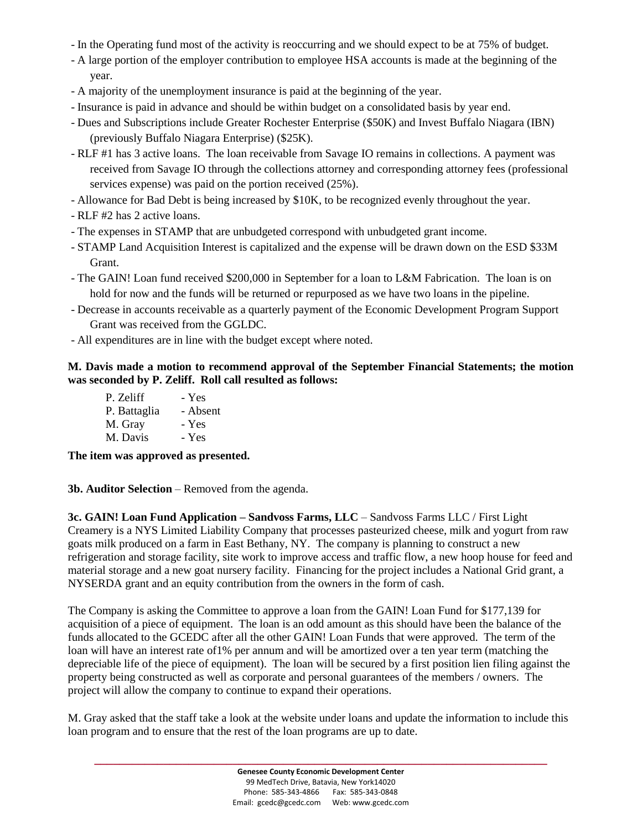- In the Operating fund most of the activity is reoccurring and we should expect to be at 75% of budget.
- A large portion of the employer contribution to employee HSA accounts is made at the beginning of the year.
- A majority of the unemployment insurance is paid at the beginning of the year.
- Insurance is paid in advance and should be within budget on a consolidated basis by year end.
- Dues and Subscriptions include Greater Rochester Enterprise (\$50K) and Invest Buffalo Niagara (IBN) (previously Buffalo Niagara Enterprise) (\$25K).
- RLF #1 has 3 active loans. The loan receivable from Savage IO remains in collections. A payment was received from Savage IO through the collections attorney and corresponding attorney fees (professional services expense) was paid on the portion received (25%).
- Allowance for Bad Debt is being increased by \$10K, to be recognized evenly throughout the year.
- RLF #2 has 2 active loans.
- The expenses in STAMP that are unbudgeted correspond with unbudgeted grant income.
- STAMP Land Acquisition Interest is capitalized and the expense will be drawn down on the ESD \$33M Grant.
- The GAIN! Loan fund received \$200,000 in September for a loan to L&M Fabrication. The loan is on hold for now and the funds will be returned or repurposed as we have two loans in the pipeline.
- Decrease in accounts receivable as a quarterly payment of the Economic Development Program Support Grant was received from the GGLDC.
- All expenditures are in line with the budget except where noted.

### **M. Davis made a motion to recommend approval of the September Financial Statements; the motion was seconded by P. Zeliff. Roll call resulted as follows:**

| P. Zeliff    | - Yes    |
|--------------|----------|
| P. Battaglia | - Absent |
| M. Gray      | - Yes    |
| M. Davis     | - Yes    |

**The item was approved as presented.**

**3b. Auditor Selection** – Removed from the agenda.

**3c. GAIN! Loan Fund Application – Sandvoss Farms, LLC** – Sandvoss Farms LLC / First Light Creamery is a NYS Limited Liability Company that processes pasteurized cheese, milk and yogurt from raw goats milk produced on a farm in East Bethany, NY. The company is planning to construct a new refrigeration and storage facility, site work to improve access and traffic flow, a new hoop house for feed and material storage and a new goat nursery facility. Financing for the project includes a National Grid grant, a NYSERDA grant and an equity contribution from the owners in the form of cash.

The Company is asking the Committee to approve a loan from the GAIN! Loan Fund for \$177,139 for acquisition of a piece of equipment. The loan is an odd amount as this should have been the balance of the funds allocated to the GCEDC after all the other GAIN! Loan Funds that were approved. The term of the loan will have an interest rate of1% per annum and will be amortized over a ten year term (matching the depreciable life of the piece of equipment). The loan will be secured by a first position lien filing against the property being constructed as well as corporate and personal guarantees of the members / owners. The project will allow the company to continue to expand their operations.

M. Gray asked that the staff take a look at the website under loans and update the information to include this loan program and to ensure that the rest of the loan programs are up to date.

**\_\_\_\_\_\_\_\_\_\_\_\_\_\_\_\_\_\_\_\_\_\_\_\_\_\_\_\_\_\_\_\_\_\_\_\_\_\_\_\_\_\_\_\_\_\_\_\_\_\_\_\_\_\_\_\_\_\_\_\_\_\_\_\_\_\_\_\_\_\_\_\_**